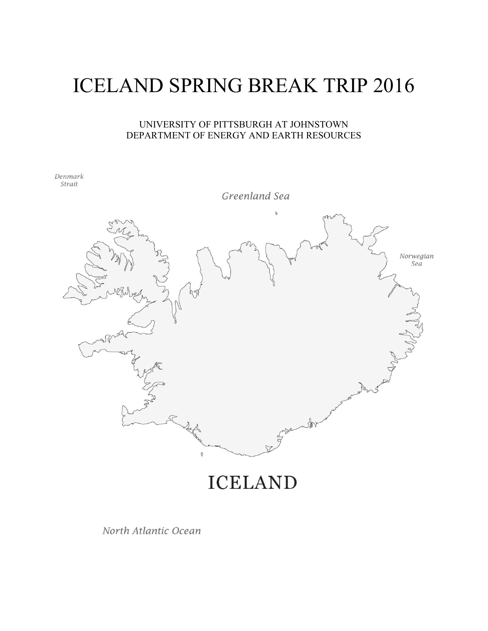# ICELAND SPRING BREAK TRIP 2016

#### UNIVERSITY OF PITTSBURGH AT JOHNSTOWN DEPARTMENT OF ENERGY AND EARTH RESOURCES



Greenland Sea



**ICELAND** 

North Atlantic Ocean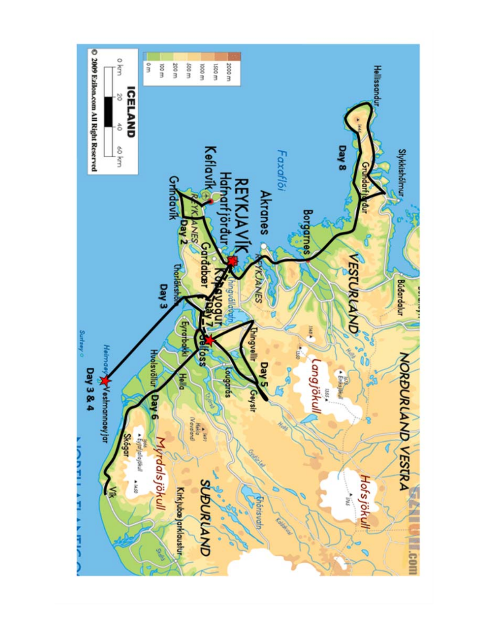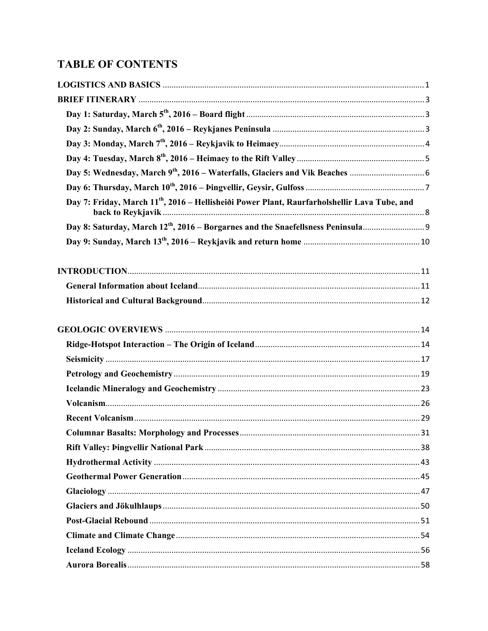# **TABLE OF CONTENTS**

| Day 7: Friday, March 11 <sup>th</sup> , 2016 – Hellisheiði Power Plant, Raurfarholshellir Lava Tube, and |  |
|----------------------------------------------------------------------------------------------------------|--|
|                                                                                                          |  |
|                                                                                                          |  |
|                                                                                                          |  |
|                                                                                                          |  |
|                                                                                                          |  |
|                                                                                                          |  |
|                                                                                                          |  |
|                                                                                                          |  |
|                                                                                                          |  |
|                                                                                                          |  |
|                                                                                                          |  |
|                                                                                                          |  |
|                                                                                                          |  |
|                                                                                                          |  |
|                                                                                                          |  |
|                                                                                                          |  |
|                                                                                                          |  |
|                                                                                                          |  |
|                                                                                                          |  |
|                                                                                                          |  |
|                                                                                                          |  |
|                                                                                                          |  |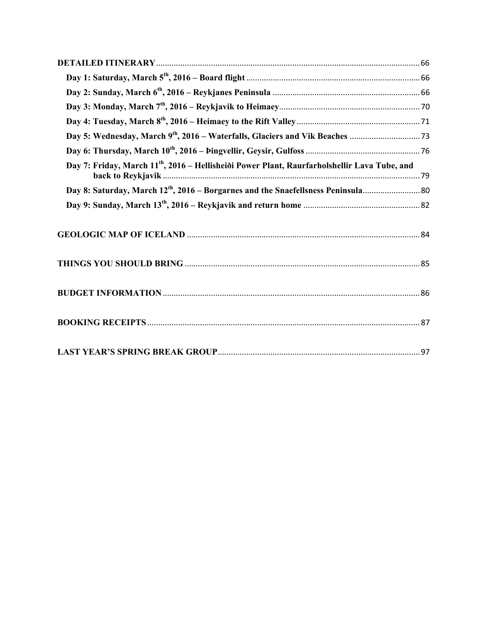| Dav 7: Friday, March 11 <sup>th</sup> , 2016 – Hellisheiði Power Plant, Raurfarholshellir Lava Tube, and |  |
|----------------------------------------------------------------------------------------------------------|--|
|                                                                                                          |  |
|                                                                                                          |  |
|                                                                                                          |  |
|                                                                                                          |  |
|                                                                                                          |  |
|                                                                                                          |  |
|                                                                                                          |  |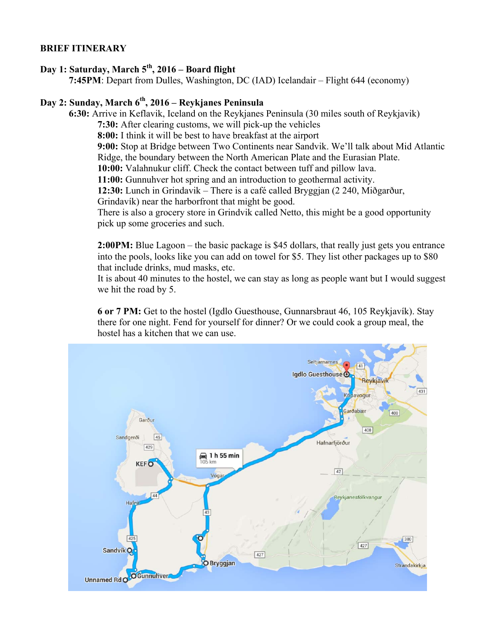#### **BRIEF ITINERARY**

## Day 1: Saturday, March 5<sup>th</sup>, 2016 – Board flight

**7:45PM**: Depart from Dulles, Washington, DC (IAD) Icelandair – Flight 644 (economy)

## **Day 2: Sunday, March 6th, 2016 – Reykjanes Peninsula**

**6:30:** Arrive in Keflavik, Iceland on the Reykjanes Peninsula (30 miles south of Reykjavik)

**7:30:** After clearing customs, we will pick-up the vehicles **8:00:** I think it will be best to have breakfast at the airport **9:00:** Stop at Bridge between Two Continents near Sandvik. We'll talk about Mid Atlantic Ridge, the boundary between the North American Plate and the Eurasian Plate. **10:00:** Valahnukur cliff. Check the contact between tuff and pillow lava. **11:00:** Gunnuhver hot spring and an introduction to geothermal activity. **12:30:** Lunch in Grindavik – There is a café called Bryggjan (2 240, Miðgarður, Grindavík) near the harborfront that might be good.

There is also a grocery store in Grindvik called Netto, this might be a good opportunity pick up some groceries and such.

**2:00PM:** Blue Lagoon – the basic package is \$45 dollars, that really just gets you entrance into the pools, looks like you can add on towel for \$5. They list other packages up to \$80 that include drinks, mud masks, etc.

It is about 40 minutes to the hostel, we can stay as long as people want but I would suggest we hit the road by 5.

**6 or 7 PM:** Get to the hostel (Igdlo Guesthouse, Gunnarsbraut 46, 105 Reykjavík). Stay there for one night. Fend for yourself for dinner? Or we could cook a group meal, the hostel has a kitchen that we can use.

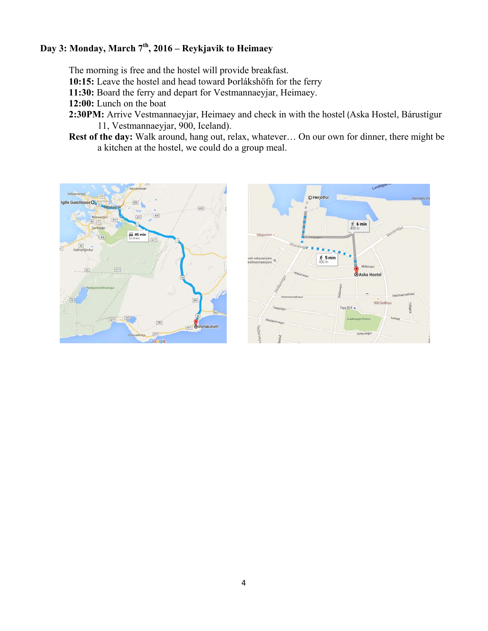# **Day 3: Monday, March 7th, 2016 – Reykjavik to Heimaey**

The morning is free and the hostel will provide breakfast.

- **10:15:** Leave the hostel and head toward Þorlákshöfn for the ferry
- **11:30:** Board the ferry and depart for Vestmannaeyjar, Heimaey.
- **12:00:** Lunch on the boat
- **2:30PM:** Arrive Vestmannaeyjar, Heimaey and check in with the hostel (Aska Hostel, Bárustígur 11, Vestmannaeyjar, 900, Iceland).
- **Rest of the day:** Walk around, hang out, relax, whatever… On our own for dinner, there might be a kitchen at the hostel, we could do a group meal.



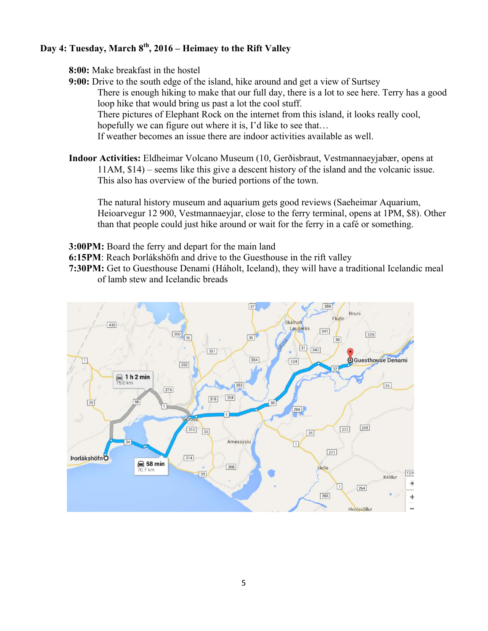# Day 4: Tuesday, March 8<sup>th</sup>, 2016 – Heimaey to the Rift Valley

#### **8:00:** Make breakfast in the hostel

**9:00:** Drive to the south edge of the island, hike around and get a view of Surtsey There is enough hiking to make that our full day, there is a lot to see here. Terry has a good loop hike that would bring us past a lot the cool stuff.

There pictures of Elephant Rock on the internet from this island, it looks really cool, hopefully we can figure out where it is, I'd like to see that...

If weather becomes an issue there are indoor activities available as well.

**Indoor Activities:** Eldheimar Volcano Museum (10, Gerðisbraut, Vestmannaeyjabær, opens at 11AM, \$14) – seems like this give a descent history of the island and the volcanic issue. This also has overview of the buried portions of the town.

The natural history museum and aquarium gets good reviews (Saeheimar Aquarium, Heioarvegur 12 900, Vestmannaeyjar, close to the ferry terminal, opens at 1PM, \$8). Other than that people could just hike around or wait for the ferry in a café or something.

**3:00PM:** Board the ferry and depart for the main land

**6:15PM**: Reach Þorlákshöfn and drive to the Guesthouse in the rift valley

**7:30PM:** Get to Guesthouse Denami (Háholt, Iceland), they will have a traditional Icelandic meal of lamb stew and Icelandic breads

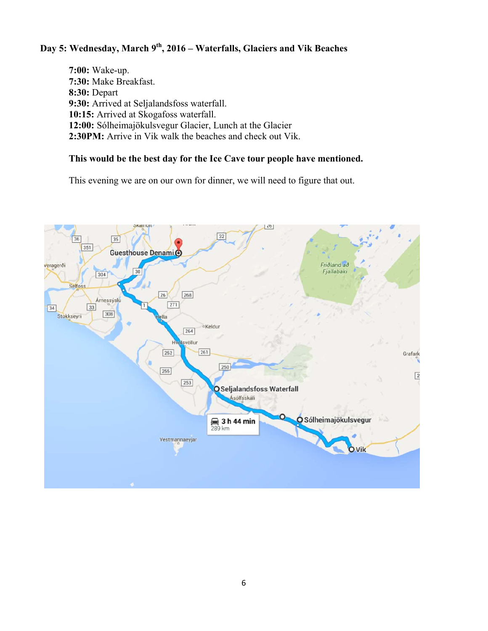# Day 5: Wednesday, March 9<sup>th</sup>, 2016 – Waterfalls, Glaciers and Vik Beaches

**7:00:** Wake-up. **7:30:** Make Breakfast. **8:30:** Depart **9:30:** Arrived at Seljalandsfoss waterfall. **10:15:** Arrived at Skogafoss waterfall. **12:00:** Sólheimajökulsvegur Glacier, Lunch at the Glacier **2:30PM:** Arrive in Vik walk the beaches and check out Vik.

#### **This would be the best day for the Ice Cave tour people have mentioned.**

This evening we are on our own for dinner, we will need to figure that out.

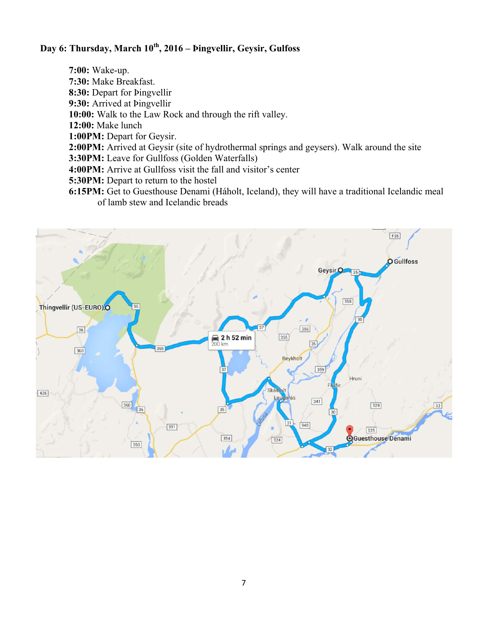# **Day 6: Thursday, March 10th, 2016 – Þingvellir, Geysir, Gulfoss**

**7:00:** Wake-up. **7:30:** Make Breakfast. **8:30:** Depart for Þingvellir **9:30:** Arrived at Þingvellir **10:00:** Walk to the Law Rock and through the rift valley. **12:00:** Make lunch **1:00PM:** Depart for Geysir. **2:00PM:** Arrived at Geysir (site of hydrothermal springs and geysers). Walk around the site **3:30PM:** Leave for Gullfoss (Golden Waterfalls) **4:00PM:** Arrive at Gullfoss visit the fall and visitor's center **5:30PM:** Depart to return to the hostel **6:15PM:** Get to Guesthouse Denami (Háholt, Iceland), they will have a traditional Icelandic meal of lamb stew and Icelandic breads

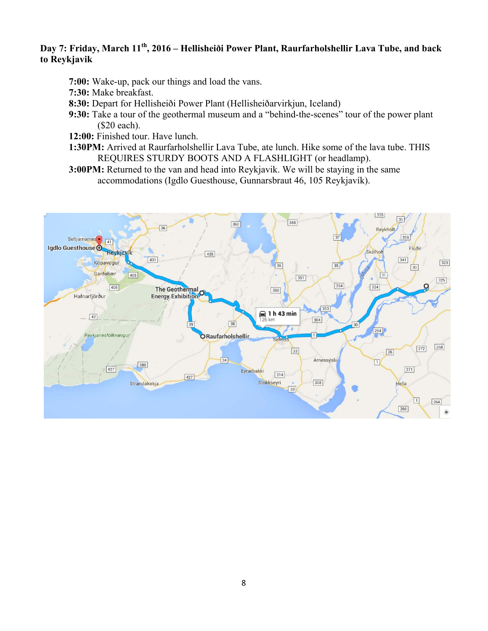## **Day 7: Friday, March 11th, 2016 – Hellisheiði Power Plant, Raurfarholshellir Lava Tube, and back to Reykjavik**

- **7:00:** Wake-up, pack our things and load the vans.
- **7:30:** Make breakfast.
- **8:30:** Depart for Hellisheiði Power Plant (Hellisheiðarvirkjun, Iceland)
- **9:30:** Take a tour of the geothermal museum and a "behind-the-scenes" tour of the power plant (\$20 each).
- **12:00:** Finished tour. Have lunch.
- **1:30PM:** Arrived at Raurfarholshellir Lava Tube, ate lunch. Hike some of the lava tube. THIS REQUIRES STURDY BOOTS AND A FLASHLIGHT (or headlamp).
- **3:00PM:** Returned to the van and head into Reykjavik. We will be staying in the same accommodations (Igdlo Guesthouse, Gunnarsbraut 46, 105 Reykjavík).

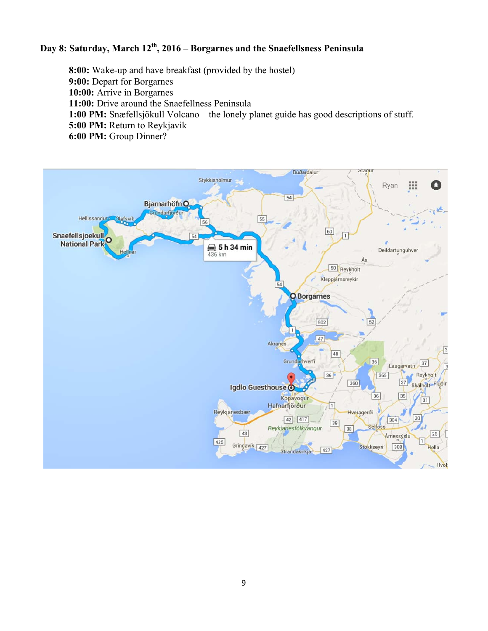## Day 8: Saturday, March 12<sup>th</sup>, 2016 – Borgarnes and the Snaefellsness Peninsula

**8:00:** Wake-up and have breakfast (provided by the hostel) **9:00:** Depart for Borgarnes **10:00:** Arrive in Borgarnes **11:00:** Drive around the Snaefellness Peninsula **1:00 PM:** Snæfellsjökull Volcano – the lonely planet guide has good descriptions of stuff. **5:00 PM:** Return to Reykjavik **6:00 PM:** Group Dinner?